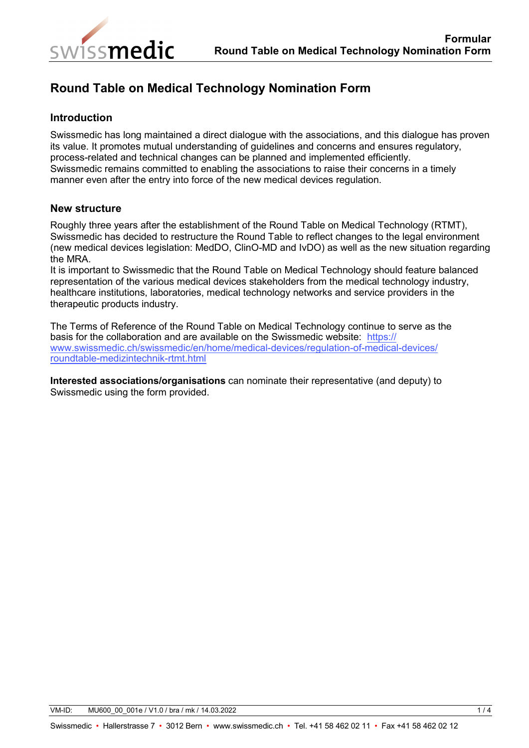

## **Round Table on Medical Technology Nomination Form**

## **Introduction**

Swissmedic has long maintained a direct dialogue with the associations, and this dialogue has proven its value. It promotes mutual understanding of guidelines and concerns and ensures regulatory, process-related and technical changes can be planned and implemented efficiently. Swissmedic remains committed to enabling the associations to raise their concerns in a timely manner even after the entry into force of the new medical devices regulation.

## **New structure**

Roughly three years after the establishment of the Round Table on Medical Technology (RTMT), Swissmedic has decided to restructure the Round Table to reflect changes to the legal environment (new medical devices legislation: MedDO, ClinO-MD and IvDO) as well as the new situation regarding the MRA.

It is important to Swissmedic that the Round Table on Medical Technology should feature balanced representation of the various medical devices stakeholders from the medical technology industry, healthcare institutions, laboratories, medical technology networks and service providers in the therapeutic products industry.

The Terms of Reference of the Round Table on Medical Technology continue to serve as the basis for the collaboration and are available on the Swissmedic website: https:// [www.swissmedic.ch/swissmedic/en/home/medical-devices/regulation-of-medical-devices/](https://www.swissmedic.ch/swissmedic/en/home/medical-devices/regulation-of-medical-devices/roundtable-medizintechnik-rtmt.html) roundtable-medizintechnik-rtmt.html

**Interested associations/organisations** can nominate their representative (and deputy) to Swissmedic using the form provided.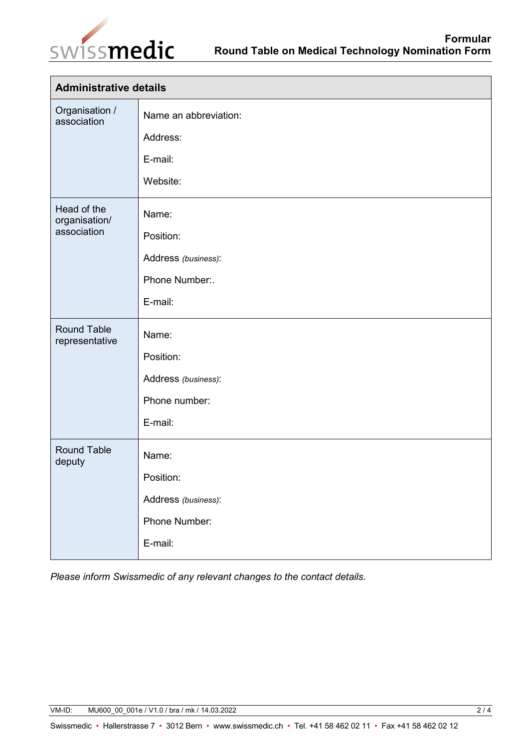

| <b>Administrative details</b>               |                                                                        |  |
|---------------------------------------------|------------------------------------------------------------------------|--|
| Organisation /<br>association               | Name an abbreviation:<br>Address:<br>E-mail:<br>Website:               |  |
| Head of the<br>organisation/<br>association | Name:<br>Position:<br>Address (business):<br>Phone Number:.<br>E-mail: |  |
| <b>Round Table</b><br>representative        | Name:<br>Position:<br>Address (business):<br>Phone number:<br>E-mail:  |  |
| <b>Round Table</b><br>deputy                | Name:<br>Position:<br>Address (business):<br>Phone Number:<br>E-mail:  |  |

*Please inform Swissmedic of any relevant changes to the contact details.*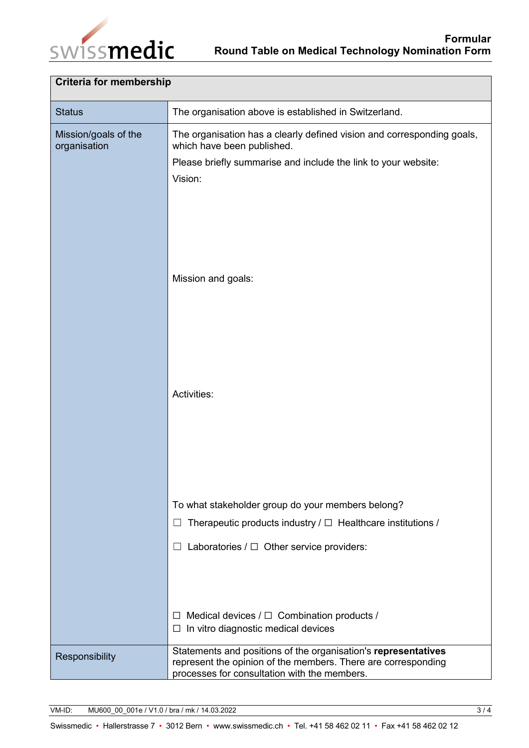

| <b>Criteria for membership</b>       |                                                                                                               |  |
|--------------------------------------|---------------------------------------------------------------------------------------------------------------|--|
| <b>Status</b>                        | The organisation above is established in Switzerland.                                                         |  |
| Mission/goals of the<br>organisation | The organisation has a clearly defined vision and corresponding goals,<br>which have been published.          |  |
|                                      | Please briefly summarise and include the link to your website:                                                |  |
|                                      | Vision:                                                                                                       |  |
|                                      |                                                                                                               |  |
|                                      |                                                                                                               |  |
|                                      |                                                                                                               |  |
|                                      |                                                                                                               |  |
|                                      | Mission and goals:                                                                                            |  |
|                                      |                                                                                                               |  |
|                                      |                                                                                                               |  |
|                                      |                                                                                                               |  |
|                                      |                                                                                                               |  |
|                                      | Activities:                                                                                                   |  |
|                                      |                                                                                                               |  |
|                                      |                                                                                                               |  |
|                                      |                                                                                                               |  |
|                                      |                                                                                                               |  |
|                                      | To what stakeholder group do your members belong?                                                             |  |
|                                      | Therapeutic products industry $/\Box$ Healthcare institutions /<br>ப                                          |  |
|                                      | Laboratories $/\Box$ Other service providers:                                                                 |  |
|                                      |                                                                                                               |  |
|                                      |                                                                                                               |  |
|                                      | $\Box$ Medical devices / $\Box$ Combination products /                                                        |  |
|                                      | In vitro diagnostic medical devices<br>⊔                                                                      |  |
| Responsibility                       | Statements and positions of the organisation's representatives                                                |  |
|                                      | represent the opinion of the members. There are corresponding<br>processes for consultation with the members. |  |